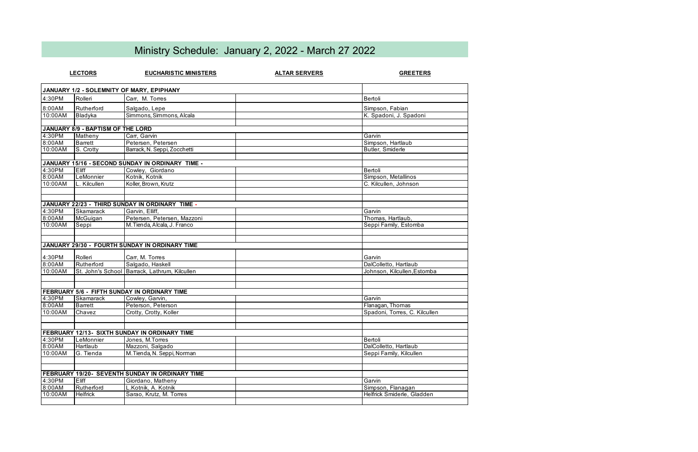|                  | <b>LECTORS</b>                           | <b>EUCHARISTIC MINISTERS</b>                           | <b>ALTAR SERVERS</b> | <b>GREETERS</b>               |
|------------------|------------------------------------------|--------------------------------------------------------|----------------------|-------------------------------|
|                  |                                          | JANUARY 1/2 - SOLEMNITY OF MARY, EPIPHANY              |                      |                               |
| 4:30PM           | Rolleri                                  | Carr, M. Torres                                        |                      | Bertoli                       |
| 8:00AM           | Rutherford                               | Salgado, Lepe                                          |                      | Simpson, Fabian               |
| 10:00AM          | Bladyka                                  | Simmons, Simmons, Alcala                               |                      | K. Spadoni, J. Spadoni        |
|                  |                                          |                                                        |                      |                               |
|                  | <b>JANUARY 8/9 - BAPTISM OF THE LORD</b> |                                                        |                      |                               |
| 4:30PM           | Matheny                                  | Carr, Garvin                                           |                      | Garvin                        |
| 8:00AM           | <b>Barrett</b>                           | Petersen, Petersen                                     |                      | Simpson, Hartlaub             |
| 10:00AM          | S. Crotty                                | Barrack, N. Seppi, Zocchetti                           |                      | Butler, Smiderle              |
|                  |                                          |                                                        |                      |                               |
|                  |                                          | JANUARY 15/16 - SECOND SUNDAY IN ORDINARY TIME -       |                      |                               |
| 4:30PM           | Eliff                                    | Cowley, Giordano                                       |                      | Bertoli                       |
| 8:00AM           | LeMonnier                                | Kotnik, Kotnik                                         |                      | Simpson, Metallinos           |
| 10:00AM          | L. Kilcullen                             | Koller, Brown, Krutz                                   |                      | C. Kilcullen, Johnson         |
|                  |                                          |                                                        |                      |                               |
|                  |                                          |                                                        |                      |                               |
|                  |                                          | JANUARY 22/23 - THIRD SUNDAY IN ORDINARY TIME -        |                      |                               |
| 4:30PM           | Skamarack                                | Garvin, Elliff,                                        |                      | Garvin                        |
| 8:00AM           | McGuigan                                 | Petersen, Petersen, Mazzoni                            |                      | Thomas, Hartlaub,             |
| 10:00AM          | Seppi                                    | M. Tienda, Alcala, J. Franco                           |                      | Seppi Family, Estomba         |
|                  |                                          |                                                        |                      |                               |
|                  |                                          | JANUARY 29/30 - FOURTH SUNDAY IN ORDINARY TIME         |                      |                               |
|                  |                                          |                                                        |                      |                               |
| 4:30PM<br>8:00AM | Rolleri<br>Rutherford                    | Carr, M. Torres                                        |                      | Garvin                        |
| 10:00AM          |                                          | Salgado, Haskell<br>Barrack, Lathrum, Kilcullen        |                      | DalColletto, Hartlaub         |
|                  | St. John's School                        |                                                        |                      | Johnson, Kilcullen, Estomba   |
|                  |                                          |                                                        |                      |                               |
|                  |                                          | FEBRUARY 5/6 - FIFTH SUNDAY IN ORDINARY TIME           |                      |                               |
| 4:30PM           | Skamarack                                | Cowley, Garvin,                                        |                      | Garvin                        |
| 8:00AM           | <b>Barrett</b>                           | Peterson, Peterson                                     |                      | Flanagan, Thomas              |
| 10:00AM          | Chavez                                   | Crotty, Crotty, Koller                                 |                      | Spadoni, Torres, C. Kilcullen |
|                  |                                          |                                                        |                      |                               |
|                  |                                          | FEBRUARY 12/13- SIXTH SUNDAY IN ORDINARY TIME          |                      |                               |
| 4:30PM           | LeMonnier                                | Jones, M.Torres                                        |                      | Bertoli                       |
| 8:00AM           | Hartlaub                                 | Mazzoni, Salgado                                       |                      | DalColletto, Hartlaub         |
| 10:00AM          | G. Tienda                                | M. Tienda, N. Seppi, Norman                            |                      | Seppi Family, Kilcullen       |
|                  |                                          |                                                        |                      |                               |
|                  |                                          | <b>FEBRUARY 19/20- SEVENTH SUNDAY IN ORDINARY TIME</b> |                      |                               |
| 4:30PM           | <b>Eliff</b>                             | Giordano, Matheny                                      |                      | Garvin                        |
| 8:00AM           | Rutherford                               | L.Kotnik, A. Kotnik                                    |                      | Simpson, Flanagan             |
| 10:00AM          | <b>Helfrick</b>                          | Sarao, Krutz, M. Torres                                |                      | Helfrick Smiderle, Gladden    |
|                  |                                          |                                                        |                      |                               |

## Ministry Schedule: January 2, 2022 - March 27 2022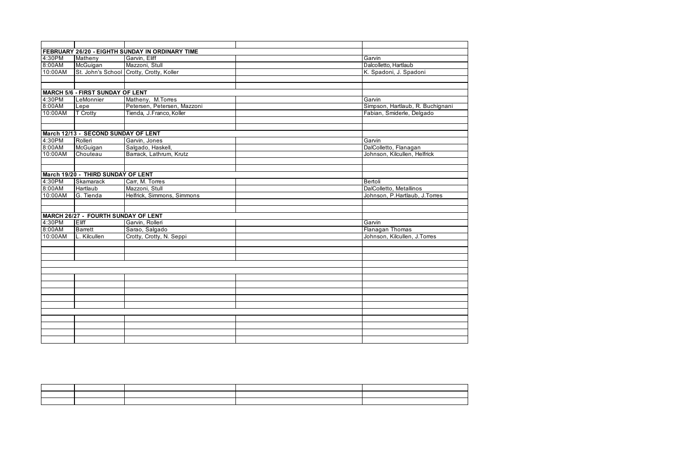|         |                                     | FEBRUARY 26/20 - EIGHTH SUNDAY IN ORDINARY TIME |                                  |
|---------|-------------------------------------|-------------------------------------------------|----------------------------------|
| 4:30PM  | Matheny                             | Garvin, Eliff                                   | Garvin                           |
| 8:00AM  | McGuigan                            | Mazzoni, Stull                                  | Dalcolletto, Hartlaub            |
| 10:00AM |                                     | St. John's School Crotty, Crotty, Koller        | K. Spadoni, J. Spadoni           |
|         |                                     |                                                 |                                  |
|         |                                     |                                                 |                                  |
|         | MARCH 5/6 - FIRST SUNDAY OF LENT    |                                                 |                                  |
| 4:30PM  | LeMonnier                           | Matheny, M.Torres                               | Garvin                           |
| 8:00AM  | Lepe                                | Petersen, Petersen, Mazzoni                     | Simpson, Hartlaub, R. Buchignani |
| 10:00AM | T Crotty                            | Tienda, J.Franco, Koller                        | Fabian, Smiderle, Delgado        |
|         |                                     |                                                 |                                  |
|         |                                     |                                                 |                                  |
|         | March 12/13 - SECOND SUNDAY OF LENT |                                                 |                                  |
| 4:30PM  | Rolleri                             | Garvin, Jones                                   | Garvin                           |
| 8:00AM  | McGuigan                            | Salgado, Haskell,                               | DalColletto, Flanagan            |
| 10:00AM | Chouteau                            | Barrack, Lathrum, Krutz                         | Johnson, Kilcullen, Helfrick     |
|         |                                     |                                                 |                                  |
|         |                                     |                                                 |                                  |
|         | March 19/20 - THIRD SUNDAY OF LENT  |                                                 |                                  |
| 4:30PM  | Skamarack                           | Carr, M. Torres                                 | Bertoli                          |
| 8:00AM  | Hartlaub                            | Mazzoni, Stull                                  | DalColletto, Metallinos          |
| 10:00AM | G. Tienda                           | Helfrick, Simmons, Simmons                      | Johnson, P.Hartlaub, J.Torres    |
|         |                                     |                                                 |                                  |
|         |                                     |                                                 |                                  |
|         | MARCH 26/27 - FOURTH SUNDAY OF LENT |                                                 |                                  |
| 4:30PM  | Eliff                               | Garvin, Rolleri                                 | Garvin                           |
| 8:00AM  | <b>Barrett</b>                      | Sarao, Salgado                                  | Flanagan Thomas                  |
| 10:00AM | L. Kilcullen                        | Crotty, Crotty, N. Seppi                        | Johnson, Kilcullen, J. Torres    |
|         |                                     |                                                 |                                  |
|         |                                     |                                                 |                                  |
|         |                                     |                                                 |                                  |
|         |                                     |                                                 |                                  |
|         |                                     |                                                 |                                  |
|         |                                     |                                                 |                                  |
|         |                                     |                                                 |                                  |
|         |                                     |                                                 |                                  |
|         |                                     |                                                 |                                  |
|         |                                     |                                                 |                                  |
|         |                                     |                                                 |                                  |
|         |                                     |                                                 |                                  |
|         |                                     |                                                 |                                  |
|         |                                     |                                                 |                                  |
|         |                                     |                                                 |                                  |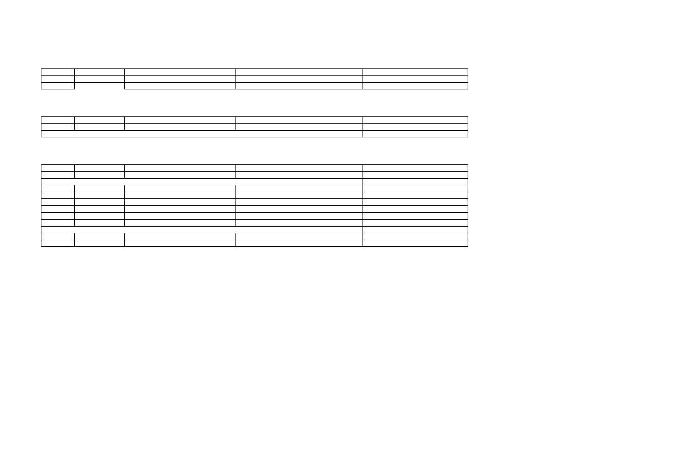|                                                                                                                 | <u> 1989 - Johann Stoff, deutscher Stoff, der Stoff, der Stoff, der Stoff, der Stoff, der Stoff, der Stoff, der S</u> | ,我们就会不会不会。""我们,我们也不会不会不会。""我们,我们也不会不会不会不会不会不会。""我们,我们也不会不会不会不会。""我们,我们也不会不会不会不会不 |  |
|-----------------------------------------------------------------------------------------------------------------|-----------------------------------------------------------------------------------------------------------------------|----------------------------------------------------------------------------------|--|
| the contract of the contract of the contract of the contract of the contract of the contract of the contract of |                                                                                                                       |                                                                                  |  |
|                                                                                                                 | the contract of the contract of the contract of the contract of the contract of the contract of the contract of       |                                                                                  |  |

|  |                                                                                                                        | ,一个人的人都是一个人的人,但是,我们的人都是不是,我们的人都是不是,我们的人都是不是,我们的人都是不是,我们的人都是不是,我们的人都是不是,我们的人都是不是,我 |  |
|--|------------------------------------------------------------------------------------------------------------------------|-----------------------------------------------------------------------------------|--|
|  |                                                                                                                        |                                                                                   |  |
|  |                                                                                                                        |                                                                                   |  |
|  | <u> 1986 - An Dùbhlachd ann an Dùbhlachd ann an Dùbhlachd ann an Dùbhlachd ann an Dùbhlachd ann an Dùbhlachd ann a</u> |                                                                                   |  |
|  |                                                                                                                        |                                                                                   |  |
|  |                                                                                                                        |                                                                                   |  |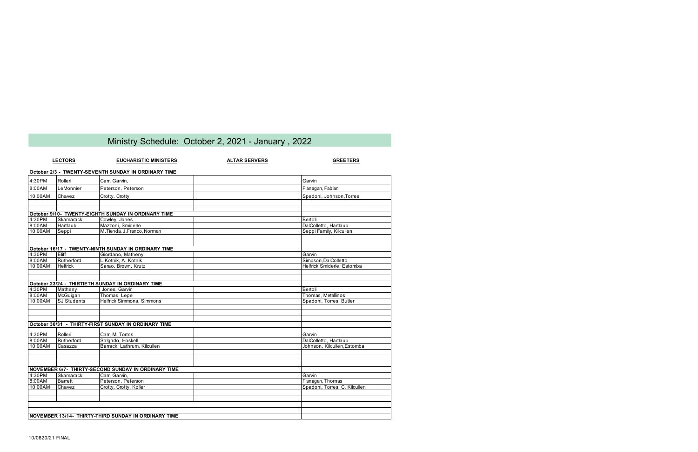|         | <b>LECTORS</b>     | <b>EUCHARISTIC MINISTERS</b>                               | <b>ALTAR SERVERS</b> | <b>GREETERS</b>               |
|---------|--------------------|------------------------------------------------------------|----------------------|-------------------------------|
|         |                    | October 2/3 - TWENTY-SEVENTH SUNDAY IN ORDINARY TIME       |                      |                               |
| 4:30PM  | Rolleri            | Carr, Garvin,                                              |                      | Garvin                        |
| 8:00AM  | LeMonnier          | Peterson, Peterson                                         |                      | Flanagan, Fabian              |
| 10:00AM | Chavez             | Crotty, Crotty,                                            |                      | Spadoni, Johnson, Torres      |
|         |                    |                                                            |                      |                               |
|         |                    |                                                            |                      |                               |
| 4:30PM  |                    | October 9/10- TWENTY-EIGHTH SUNDAY IN ORDINARY TIME        |                      |                               |
|         | Skamarack          | Cowley, Jones                                              |                      | Bertoli                       |
| 8:00AM  | Hartlaub           | Mazzoni, Smiderle                                          |                      | DalColletto, Hartlaub         |
| 10:00AM | Seppi              | M. Tienda, J. Franco, Norman                               |                      | Seppi Family, Kilcullen       |
|         |                    |                                                            |                      |                               |
|         |                    | October 16/17 - TWENTY-NINTH SUNDAY IN ORDINARY TIME       |                      |                               |
| 4:30PM  | Eliff              | Giordano, Matheny                                          |                      | Garvin                        |
| 8:00AM  | Rutherford         | L.Kotnik, A. Kotnik                                        |                      | Simpson, DalColletto          |
| 10:00AM | <b>Helfrick</b>    | Sarao, Brown, Krutz                                        |                      | Helfrick Smiderle, Estomba    |
|         |                    |                                                            |                      |                               |
|         |                    | October 23/24 - THIRTIETH SUNDAY IN ORDINARY TIME          |                      |                               |
| 4:30PM  | Matheny            | Jones, Garvin                                              |                      | Bertoli                       |
| 8:00AM  | McGuigan           | Thomas, Lepe                                               |                      | Thomas, Metallinos            |
| 10:00AM | <b>SJ Students</b> | Helfrick, Simmons, Simmons                                 |                      | Spadoni, Torres, Butler       |
|         |                    |                                                            |                      |                               |
|         |                    |                                                            |                      |                               |
|         |                    | October 30/31 - THIRTY-FIRST SUNDAY IN ORDINARY TIME       |                      |                               |
|         |                    |                                                            |                      |                               |
| 4:30PM  | Rolleri            | Carr, M. Torres                                            |                      | Garvin                        |
| 8:00AM  | Rutherford         | Salgado, Haskell                                           |                      | DalColletto, Hartlaub         |
| 10:00AM | Casazza            | Barrack, Lathrum, Kilcullen                                |                      | Johnson, Kilcullen, Estomba   |
|         |                    |                                                            |                      |                               |
|         |                    |                                                            |                      |                               |
|         |                    | <b>NOVEMBER 6/7- THIRTY-SECOND SUNDAY IN ORDINARY TIME</b> |                      |                               |
| 4:30PM  | Skamarack          | Carr, Garvin,                                              |                      | Garvin                        |
| 8:00AM  | <b>Barrett</b>     | Peterson, Peterson                                         |                      | Flanagan, Thomas              |
| 10:00AM | Chavez             | Crotty, Crotty, Koller                                     |                      | Spadoni, Torres, C. Kilcullen |
|         |                    |                                                            |                      |                               |
|         |                    |                                                            |                      |                               |
|         |                    |                                                            |                      |                               |
|         |                    |                                                            |                      |                               |
|         |                    | NOVEMBER 13/14- THIRTY-THIRD SUNDAY IN ORDINARY TIME       |                      |                               |
|         |                    |                                                            |                      |                               |

## Ministry Schedule: October 2, 2021 - January , 2022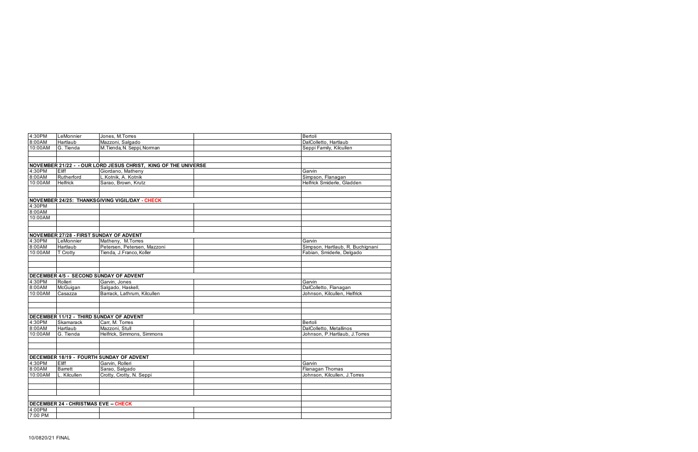| 4:30PM  | LeMonnier       | Jones, M.Torres                                                | Bertoli                          |
|---------|-----------------|----------------------------------------------------------------|----------------------------------|
| 8:00AM  | Hartlaub        | Mazzoni, Salgado                                               | DalColletto, Hartlaub            |
| 10:00AM | G. Tienda       | M. Tienda, N. Seppi, Norman                                    | Seppi Family, Kilcullen          |
|         |                 |                                                                |                                  |
|         |                 |                                                                |                                  |
|         |                 | NOVEMBER 21/22 - - OUR LORD JESUS CHRIST, KING OF THE UNIVERSE |                                  |
| 4:30PM  | Eliff           | Giordano, Matheny                                              | Garvin                           |
| 8:00AM  | Rutherford      | L.Kotnik, A. Kotnik                                            | Simpson, Flanagan                |
| 10:00AM | <b>Helfrick</b> | Sarao, Brown, Krutz                                            | Helfrick Smiderle, Gladden       |
|         |                 | NOVEMBER 24/25: THANKSGIVING VIGIL/DAY - CHECK                 |                                  |
| 4:30PM  |                 |                                                                |                                  |
| 8:00AM  |                 |                                                                |                                  |
| 10:00AM |                 |                                                                |                                  |
|         |                 |                                                                |                                  |
|         |                 |                                                                |                                  |
|         |                 | <b>NOVEMBER 27/28 - FIRST SUNDAY OF ADVENT</b>                 |                                  |
| 4:30PM  | LeMonnier       | Matheny, M.Torres                                              | Garvin                           |
| 8:00AM  | Hartlaub        | Petersen, Petersen, Mazzoni                                    | Simpson, Hartlaub, R. Buchignani |
| 10:00AM | <b>T</b> Crotty | Tienda, J.Franco, Koller                                       | Fabian, Smiderle, Delgado        |
|         |                 |                                                                |                                  |
|         |                 |                                                                |                                  |
|         |                 | <b>DECEMBER 4/5 - SECOND SUNDAY OF ADVENT</b>                  |                                  |
| 4:30PM  | Rolleri         | Garvin, Jones                                                  | Garvin                           |
| 8:00AM  | McGuigan        | Salgado, Haskell,                                              | DalColletto, Flanagan            |
| 10:00AM | Casazza         | Barrack, Lathrum, Kilcullen                                    | Johnson, Kilcullen, Helfrick     |
|         |                 |                                                                |                                  |
|         |                 |                                                                |                                  |
|         |                 | DECEMBER 11/12 - THIRD SUNDAY OF ADVENT                        |                                  |
| 4:30PM  | Skamarack       | Carr, M. Torres                                                | Bertoli                          |
| 8:00AM  | Hartlaub        | Mazzoni, Stull                                                 | DalColletto, Metallinos          |
| 10:00AM | G. Tienda       | Helfrick, Simmons, Simmons                                     | Johnson, P.Hartlaub, J.Torres    |
|         |                 |                                                                |                                  |
|         |                 |                                                                |                                  |
|         |                 | <b>DECEMBER 18/19 - FOURTH SUNDAY OF ADVENT</b>                |                                  |
| 4:30PM  | <b>Eliff</b>    | Garvin, Rolleri                                                | Garvin                           |
| 8:00AM  | <b>Barrett</b>  | Sarao, Salgado                                                 | Flanagan Thomas                  |
| 10:00AM | L. Kilcullen    | Crotty, Crotty, N. Seppi                                       | Johnson, Kilcullen, J.Torres     |
|         |                 |                                                                |                                  |
|         |                 |                                                                |                                  |
|         |                 |                                                                |                                  |
|         |                 |                                                                |                                  |
|         |                 | <b>DECEMBER 24 - CHRISTMAS EVE - CHECK</b>                     |                                  |
| 4:00PM  |                 |                                                                |                                  |
| 7:00 PM |                 |                                                                |                                  |